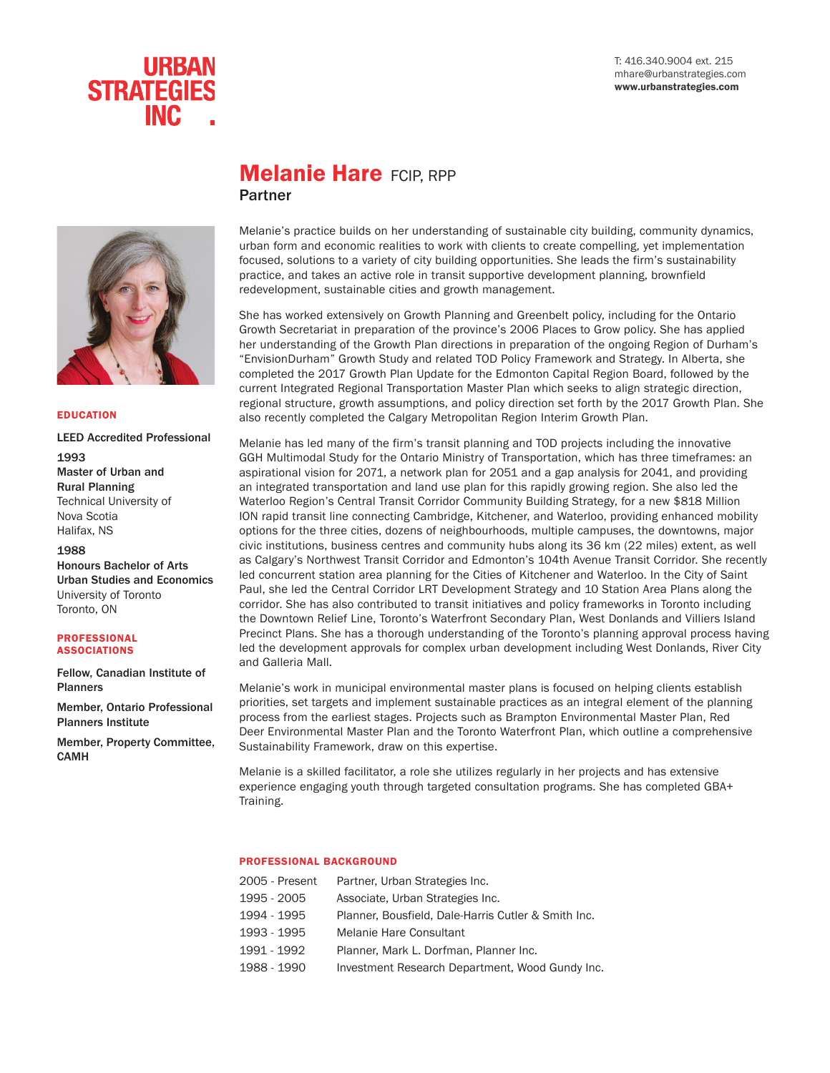#### T: 416.340.9004 ext. 215 mhare@urbanstrategies.com www.urbanstrategies.com



## **Melanie Hare FCIP, RPP** Partner



### EDUCATION

LEED Accredited Professional 1993 Master of Urban and Rural Planning Technical University of Nova Scotia Halifax, NS

#### 1988

Honours Bachelor of Arts Urban Studies and Economics University of Toronto Toronto, ON

#### **PROFESSIONAL** ASSOCIATIONS

Fellow, Canadian Institute of Planners

Member, Ontario Professional Planners Institute

Member, Property Committee, CAMH

## Melanie's practice builds on her understanding of sustainable city building, community dynamics, urban form and economic realities to work with clients to create compelling, yet implementation focused, solutions to a variety of city building opportunities. She leads the firm's sustainability practice, and takes an active role in transit supportive development planning, brownfield

redevelopment, sustainable cities and growth management.

She has worked extensively on Growth Planning and Greenbelt policy, including for the Ontario Growth Secretariat in preparation of the province's 2006 Places to Grow policy. She has applied her understanding of the Growth Plan directions in preparation of the ongoing Region of Durham's "EnvisionDurham" Growth Study and related TOD Policy Framework and Strategy. In Alberta, she completed the 2017 Growth Plan Update for the Edmonton Capital Region Board, followed by the current Integrated Regional Transportation Master Plan which seeks to align strategic direction, regional structure, growth assumptions, and policy direction set forth by the 2017 Growth Plan. She also recently completed the Calgary Metropolitan Region Interim Growth Plan.

Melanie has led many of the firm's transit planning and TOD projects including the innovative GGH Multimodal Study for the Ontario Ministry of Transportation, which has three timeframes: an aspirational vision for 2071, a network plan for 2051 and a gap analysis for 2041, and providing an integrated transportation and land use plan for this rapidly growing region. She also led the Waterloo Region's Central Transit Corridor Community Building Strategy, for a new \$818 Million ION rapid transit line connecting Cambridge, Kitchener, and Waterloo, providing enhanced mobility options for the three cities, dozens of neighbourhoods, multiple campuses, the downtowns, major civic institutions, business centres and community hubs along its 36 km (22 miles) extent, as well as Calgary's Northwest Transit Corridor and Edmonton's 104th Avenue Transit Corridor. She recently led concurrent station area planning for the Cities of Kitchener and Waterloo. In the City of Saint Paul, she led the Central Corridor LRT Development Strategy and 10 Station Area Plans along the corridor. She has also contributed to transit initiatives and policy frameworks in Toronto including the Downtown Relief Line, Toronto's Waterfront Secondary Plan, West Donlands and Villiers Island Precinct Plans. She has a thorough understanding of the Toronto's planning approval process having led the development approvals for complex urban development including West Donlands, River City and Galleria Mall.

Melanie's work in municipal environmental master plans is focused on helping clients establish priorities, set targets and implement sustainable practices as an integral element of the planning process from the earliest stages. Projects such as Brampton Environmental Master Plan, Red Deer Environmental Master Plan and the Toronto Waterfront Plan, which outline a comprehensive Sustainability Framework, draw on this expertise.

Melanie is a skilled facilitator, a role she utilizes regularly in her projects and has extensive experience engaging youth through targeted consultation programs. She has completed GBA+ Training.

#### PROFESSIONAL BACKGROUND

| 2005 - Present | Partner, Urban Strategies Inc.                      |
|----------------|-----------------------------------------------------|
| 1995 - 2005    | Associate, Urban Strategies Inc.                    |
| 1994 - 1995    | Planner, Bousfield, Dale-Harris Cutler & Smith Inc. |
| 1993 - 1995    | Melanie Hare Consultant                             |
| 1991 - 1992    | Planner, Mark L. Dorfman, Planner Inc.              |
| 1988 - 1990    | Investment Research Department, Wood Gundy Inc.     |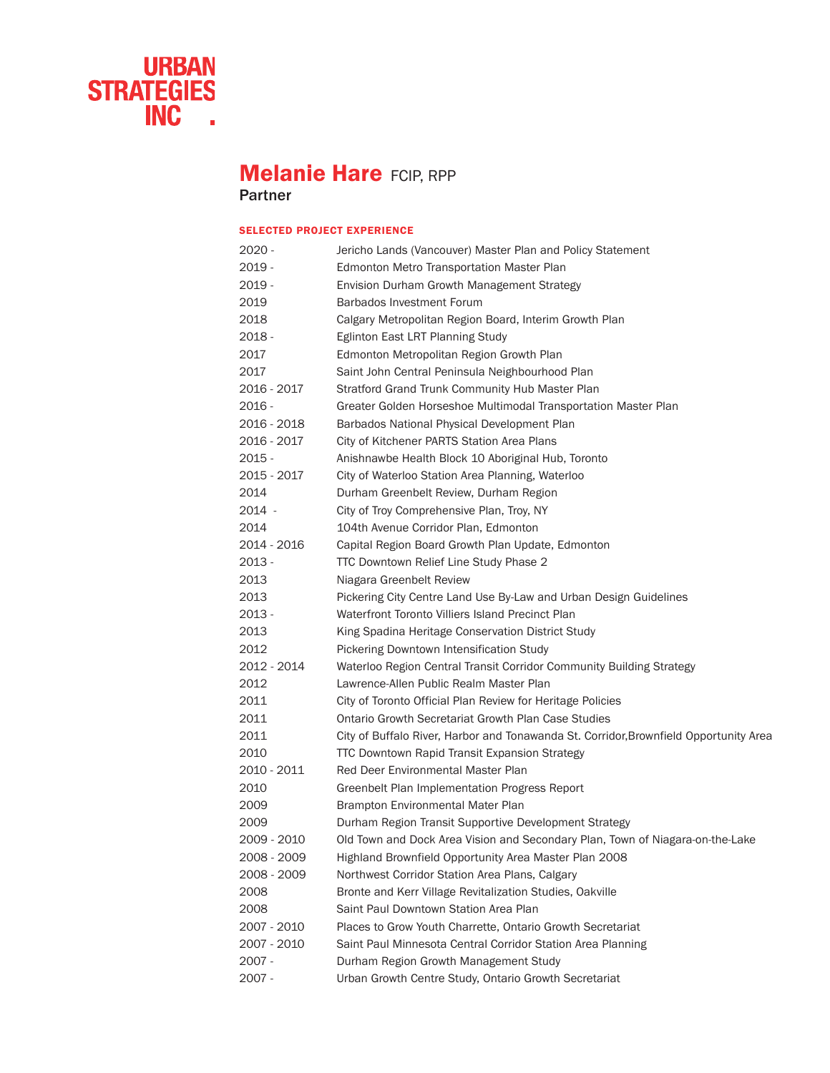

# **Melanie Hare FCIP, RPP**

Partner

## SELECTED PROJECT EXPERIENCE

| 2020 -      | Jericho Lands (Vancouver) Master Plan and Policy Statement                            |
|-------------|---------------------------------------------------------------------------------------|
| 2019 -      | Edmonton Metro Transportation Master Plan                                             |
| $2019 -$    | Envision Durham Growth Management Strategy                                            |
| 2019        | Barbados Investment Forum                                                             |
| 2018        | Calgary Metropolitan Region Board, Interim Growth Plan                                |
| 2018 -      | Eglinton East LRT Planning Study                                                      |
| 2017        | Edmonton Metropolitan Region Growth Plan                                              |
| 2017        | Saint John Central Peninsula Neighbourhood Plan                                       |
| 2016 - 2017 | Stratford Grand Trunk Community Hub Master Plan                                       |
| 2016 -      | Greater Golden Horseshoe Multimodal Transportation Master Plan                        |
| 2016 - 2018 | Barbados National Physical Development Plan                                           |
| 2016 - 2017 | City of Kitchener PARTS Station Area Plans                                            |
| 2015 -      | Anishnawbe Health Block 10 Aboriginal Hub, Toronto                                    |
| 2015 - 2017 | City of Waterloo Station Area Planning, Waterloo                                      |
| 2014        | Durham Greenbelt Review, Durham Region                                                |
| 2014 -      | City of Troy Comprehensive Plan, Troy, NY                                             |
| 2014        | 104th Avenue Corridor Plan, Edmonton                                                  |
| 2014 - 2016 | Capital Region Board Growth Plan Update, Edmonton                                     |
| 2013 -      | TTC Downtown Relief Line Study Phase 2                                                |
| 2013        | Niagara Greenbelt Review                                                              |
| 2013        | Pickering City Centre Land Use By-Law and Urban Design Guidelines                     |
| 2013 -      | Waterfront Toronto Villiers Island Precinct Plan                                      |
| 2013        | King Spadina Heritage Conservation District Study                                     |
| 2012        | Pickering Downtown Intensification Study                                              |
| 2012 - 2014 | Waterloo Region Central Transit Corridor Community Building Strategy                  |
| 2012        | Lawrence-Allen Public Realm Master Plan                                               |
| 2011        | City of Toronto Official Plan Review for Heritage Policies                            |
| 2011        | Ontario Growth Secretariat Growth Plan Case Studies                                   |
| 2011        | City of Buffalo River, Harbor and Tonawanda St. Corridor, Brownfield Opportunity Area |
| 2010        | <b>TTC Downtown Rapid Transit Expansion Strategy</b>                                  |
| 2010 - 2011 | Red Deer Environmental Master Plan                                                    |
| 2010        | Greenbelt Plan Implementation Progress Report                                         |
| 2009        | Brampton Environmental Mater Plan                                                     |
| 2009        | Durham Region Transit Supportive Development Strategy                                 |
| 2009 - 2010 | Old Town and Dock Area Vision and Secondary Plan, Town of Niagara-on-the-Lake         |
| 2008 - 2009 | Highland Brownfield Opportunity Area Master Plan 2008                                 |
| 2008 - 2009 | Northwest Corridor Station Area Plans, Calgary                                        |
| 2008        | Bronte and Kerr Village Revitalization Studies, Oakville                              |
| 2008        | Saint Paul Downtown Station Area Plan                                                 |
| 2007 - 2010 | Places to Grow Youth Charrette, Ontario Growth Secretariat                            |
| 2007 - 2010 | Saint Paul Minnesota Central Corridor Station Area Planning                           |
| 2007 -      | Durham Region Growth Management Study                                                 |
| 2007 -      | Urban Growth Centre Study, Ontario Growth Secretariat                                 |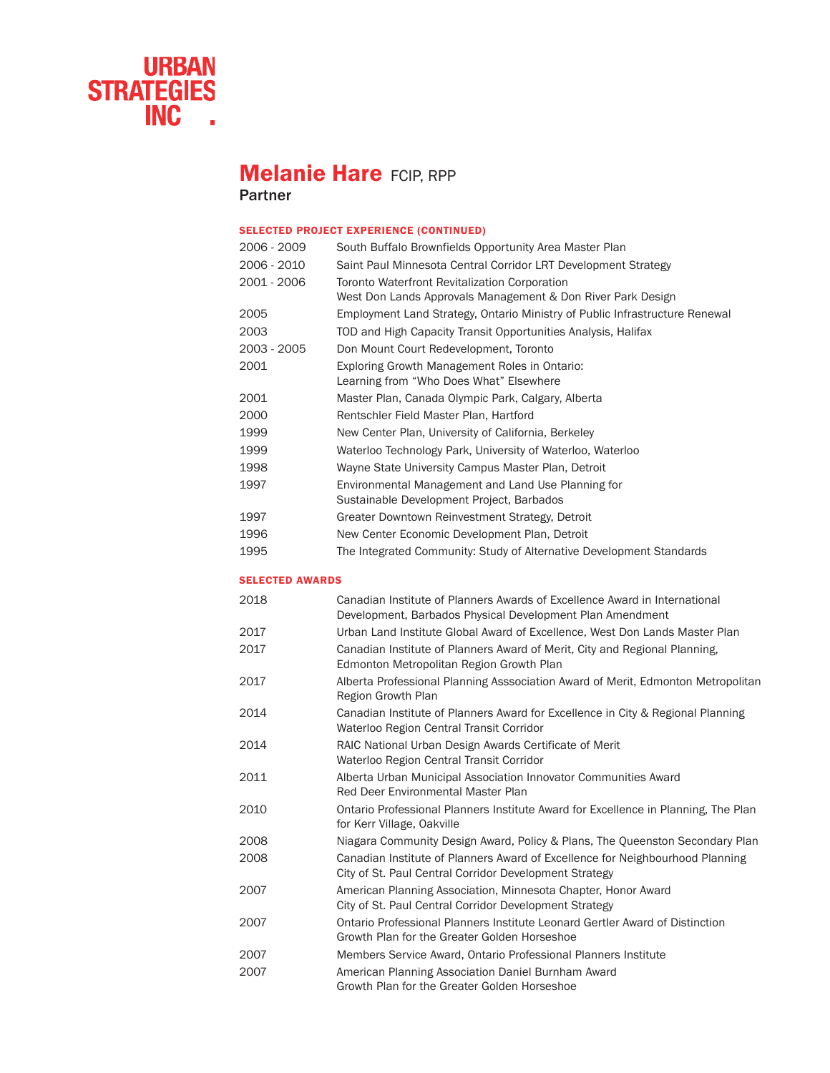

## **Melanie Hare FCIP, RPP**

Partner

## SELECTED PROJECT EXPERIENCE (CONTINUED)

| 2006 - 2009 | South Buffalo Brownfields Opportunity Area Master Plan                                                       |
|-------------|--------------------------------------------------------------------------------------------------------------|
| 2006 - 2010 | Saint Paul Minnesota Central Corridor LRT Development Strategy                                               |
| 2001 - 2006 | Toronto Waterfront Revitalization Corporation<br>West Don Lands Approvals Management & Don River Park Design |
| 2005        | Employment Land Strategy, Ontario Ministry of Public Infrastructure Renewal                                  |
| 2003        | TOD and High Capacity Transit Opportunities Analysis, Halifax                                                |
| 2003 - 2005 | Don Mount Court Redevelopment, Toronto                                                                       |
| 2001        | Exploring Growth Management Roles in Ontario:<br>Learning from "Who Does What" Elsewhere                     |
| 2001        | Master Plan, Canada Olympic Park, Calgary, Alberta                                                           |
| 2000        | Rentschler Field Master Plan, Hartford                                                                       |
| 1999        | New Center Plan, University of California, Berkeley                                                          |
| 1999        | Waterloo Technology Park, University of Waterloo, Waterloo                                                   |
| 1998        | Wayne State University Campus Master Plan, Detroit                                                           |
| 1997        | Environmental Management and Land Use Planning for<br>Sustainable Development Project, Barbados              |
| 1997        | Greater Downtown Reinvestment Strategy, Detroit                                                              |
| 1996        | New Center Economic Development Plan, Detroit                                                                |
| 1995        | The Integrated Community: Study of Alternative Development Standards                                         |

## SELECTED AWARDS

| 2018 | Canadian Institute of Planners Awards of Excellence Award in International<br>Development, Barbados Physical Development Plan Amendment |
|------|-----------------------------------------------------------------------------------------------------------------------------------------|
| 2017 | Urban Land Institute Global Award of Excellence, West Don Lands Master Plan                                                             |
| 2017 | Canadian Institute of Planners Award of Merit, City and Regional Planning,<br>Edmonton Metropolitan Region Growth Plan                  |
| 2017 | Alberta Professional Planning Asssociation Award of Merit, Edmonton Metropolitan<br>Region Growth Plan                                  |
| 2014 | Canadian Institute of Planners Award for Excellence in City & Regional Planning<br>Waterloo Region Central Transit Corridor             |
| 2014 | RAIC National Urban Design Awards Certificate of Merit<br>Waterloo Region Central Transit Corridor                                      |
| 2011 | Alberta Urban Municipal Association Innovator Communities Award<br>Red Deer Environmental Master Plan                                   |
| 2010 | Ontario Professional Planners Institute Award for Excellence in Planning, The Plan<br>for Kerr Village, Oakville                        |
| 2008 | Niagara Community Design Award, Policy & Plans, The Queenston Secondary Plan                                                            |
| 2008 | Canadian Institute of Planners Award of Excellence for Neighbourhood Planning<br>City of St. Paul Central Corridor Development Strategy |
| 2007 | American Planning Association, Minnesota Chapter, Honor Award<br>City of St. Paul Central Corridor Development Strategy                 |
| 2007 | Ontario Professional Planners Institute Leonard Gertler Award of Distinction<br>Growth Plan for the Greater Golden Horseshoe            |
| 2007 | Members Service Award, Ontario Professional Planners Institute                                                                          |
| 2007 | American Planning Association Daniel Burnham Award<br>Growth Plan for the Greater Golden Horseshoe                                      |